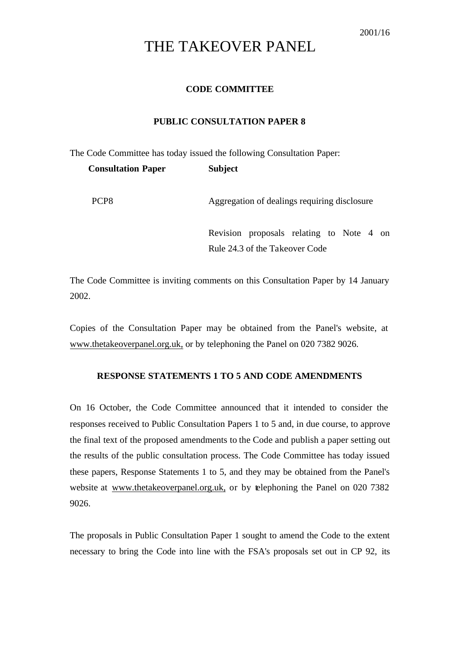# THE TAKEOVER PANEL

## **CODE COMMITTEE**

#### **PUBLIC CONSULTATION PAPER 8**

The Code Committee has today issued the following Consultation Paper: **Consultation Paper Subject**

PCP8 Aggregation of dealings requiring disclosure

Revision proposals relating to Note 4 on Rule 24.3 of the Takeover Code

The Code Committee is inviting comments on this Consultation Paper by 14 January 2002.

Copies of the Consultation Paper may be obtained from the Panel's website, at www.thetakeoverpanel.org.uk, or by telephoning the Panel on 020 7382 9026.

## **RESPONSE STATEMENTS 1 TO 5 AND CODE AMENDMENTS**

On 16 October, the Code Committee announced that it intended to consider the responses received to Public Consultation Papers 1 to 5 and, in due course, to approve the final text of the proposed amendments to the Code and publish a paper setting out the results of the public consultation process. The Code Committee has today issued these papers, Response Statements 1 to 5, and they may be obtained from the Panel's website at www.thetakeoverpanel.org.uk, or by telephoning the Panel on 020 7382 9026.

The proposals in Public Consultation Paper 1 sought to amend the Code to the extent necessary to bring the Code into line with the FSA's proposals set out in CP 92, its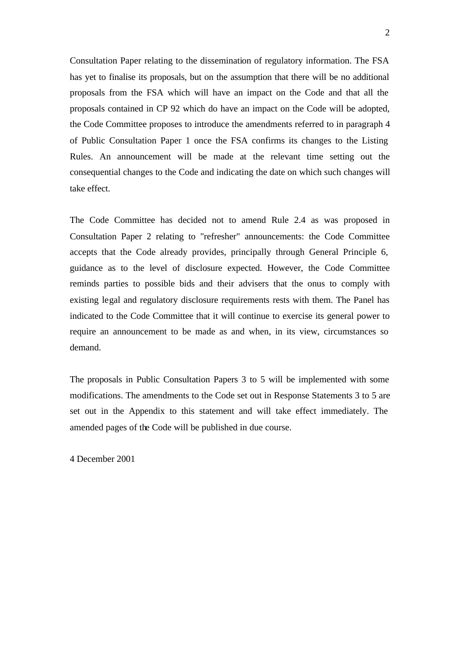Consultation Paper relating to the dissemination of regulatory information. The FSA has yet to finalise its proposals, but on the assumption that there will be no additional proposals from the FSA which will have an impact on the Code and that all the proposals contained in CP 92 which do have an impact on the Code will be adopted, the Code Committee proposes to introduce the amendments referred to in paragraph 4 of Public Consultation Paper 1 once the FSA confirms its changes to the Listing Rules. An announcement will be made at the relevant time setting out the consequential changes to the Code and indicating the date on which such changes will take effect.

The Code Committee has decided not to amend Rule 2.4 as was proposed in Consultation Paper 2 relating to "refresher" announcements: the Code Committee accepts that the Code already provides, principally through General Principle 6, guidance as to the level of disclosure expected. However, the Code Committee reminds parties to possible bids and their advisers that the onus to comply with existing legal and regulatory disclosure requirements rests with them. The Panel has indicated to the Code Committee that it will continue to exercise its general power to require an announcement to be made as and when, in its view, circumstances so demand.

The proposals in Public Consultation Papers 3 to 5 will be implemented with some modifications. The amendments to the Code set out in Response Statements 3 to 5 are set out in the Appendix to this statement and will take effect immediately. The amended pages of the Code will be published in due course.

4 December 2001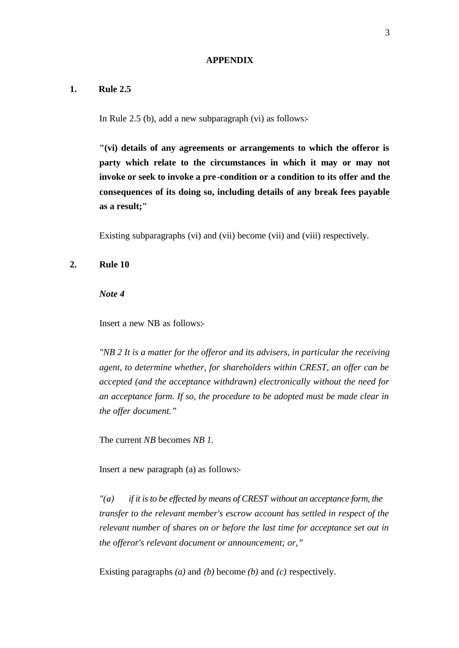#### **APPENDIX**

## **1. Rule 2.5**

In Rule 2.5 (b), add a new subparagraph (vi) as follows:-

**"(vi) details of any agreements or arrangements to which the offeror is party which relate to the circumstances in which it may or may not invoke or seek to invoke a pre -condition or a condition to its offer and the consequences of its doing so, including details of any break fees payable as a result;"**

Existing subparagraphs (vi) and (vii) become (vii) and (viii) respectively.

**2. Rule 10** 

*Note 4*

Insert a new NB as follows:-

*"NB 2 It is a matter for the offeror and its advisers, in particular the receiving agent, to determine whether, for shareholders within CREST, an offer can be accepted (and the acceptance withdrawn) electronically without the need for an acceptance form. If so, the procedure to be adopted must be made clear in the offer document."*

The current *NB* becomes *NB 1.*

Insert a new paragraph (a) as follows:-

*"(a) if it is to be effected by means of CREST without an acceptance form, the transfer to the relevant member's escrow account has settled in respect of the relevant number of shares on or before the last time for acceptance set out in the offeror's relevant document or announcement; or,"*

Existing paragraphs *(a)* and *(b)* become *(b)* and *(c)* respectively.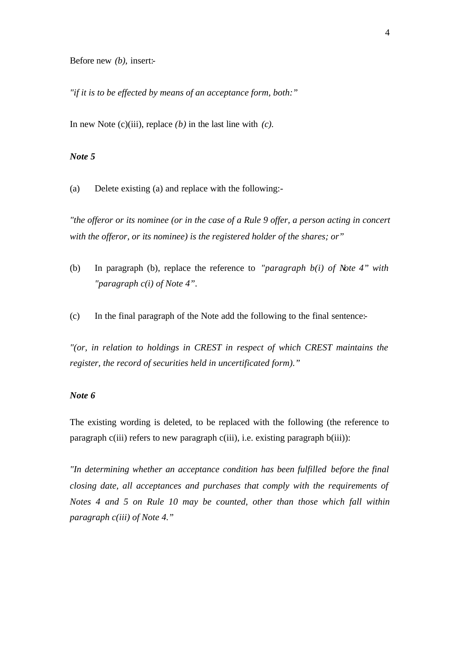Before new *(b)*, insert:-

*"if it is to be effected by means of an acceptance form, both:"*

In new Note (c)(iii), replace *(b)* in the last line with *(c)*.

## *Note 5*

(a) Delete existing (a) and replace with the following:-

*"the offeror or its nominee (or in the case of a Rule 9 offer, a person acting in concert with the offeror, or its nominee) is the registered holder of the shares; or"*

- (b) In paragraph (b), replace the reference to *"paragraph b(i) of Note 4" with "paragraph c(i) of Note 4".*
- (c) In the final paragraph of the Note add the following to the final sentence:-

*"(or, in relation to holdings in CREST in respect of which CREST maintains the register, the record of securities held in uncertificated form)."*

## *Note 6*

The existing wording is deleted, to be replaced with the following (the reference to paragraph c(iii) refers to new paragraph c(iii), i.e. existing paragraph b(iii)):

*"In determining whether an acceptance condition has been fulfilled before the final closing date, all acceptances and purchases that comply with the requirements of Notes 4 and 5 on Rule 10 may be counted, other than those which fall within paragraph c(iii) of Note 4."*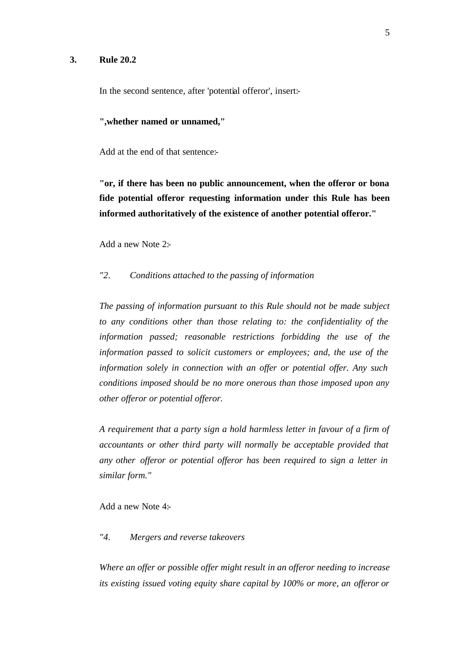#### **3. Rule 20.2**

In the second sentence, after 'potential offeror', insert:-

#### **",whether named or unnamed,"**

Add at the end of that sentence:-

**"or, if there has been no public announcement, when the offeror or bona fide potential offeror requesting information under this Rule has been informed authoritatively of the existence of another potential offeror."**

Add a new Note 2:-

# *"2. Conditions attached to the passing of information*

*The passing of information pursuant to this Rule should not be made subject to any conditions other than those relating to: the confidentiality of the information passed; reasonable restrictions forbidding the use of the information passed to solicit customers or employees; and, the use of the information solely in connection with an offer or potential offer. Any such conditions imposed should be no more onerous than those imposed upon any other offeror or potential offeror.*

*A requirement that a party sign a hold harmless letter in favour of a firm of accountants or other third party will normally be acceptable provided that any other offeror or potential offeror has been required to sign a letter in similar form."*

Add a new Note 4:-

## *"4. Mergers and reverse takeovers*

*Where an offer or possible offer might result in an offeror needing to increase its existing issued voting equity share capital by 100% or more, an offeror or*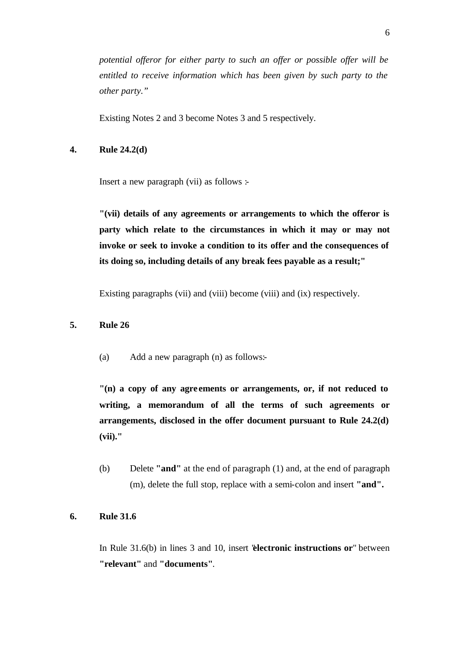*potential offeror for either party to such an offer or possible offer will be entitled to receive information which has been given by such party to the other party."*

Existing Notes 2 and 3 become Notes 3 and 5 respectively.

# **4. Rule 24.2(d)**

Insert a new paragraph (vii) as follows :-

**"(vii) details of any agreements or arrangements to which the offeror is party which relate to the circumstances in which it may or may not invoke or seek to invoke a condition to its offer and the consequences of its doing so, including details of any break fees payable as a result;"**

Existing paragraphs (vii) and (viii) become (viii) and (ix) respectively.

#### **5. Rule 26**

(a) Add a new paragraph (n) as follows:-

**"(n) a copy of any agre ements or arrangements, or, if not reduced to writing, a memorandum of all the terms of such agreements or arrangements, disclosed in the offer document pursuant to Rule 24.2(d) (vii)."**

(b) Delete **"and"** at the end of paragraph (1) and, at the end of paragraph (m), delete the full stop, replace with a semi-colon and insert **"and".**

## **6. Rule 31.6**

In Rule 31.6(b) in lines 3 and 10, insert "**electronic instructions or**" between **"relevant"** and **"documents"**.